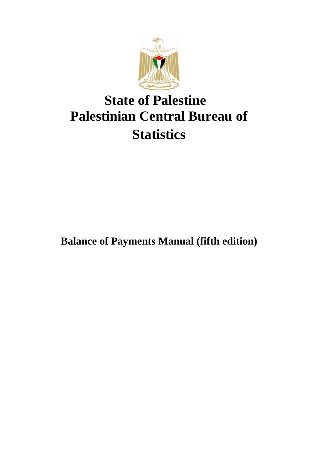

## **State of Palestine Palestinian Central Bureau of Statistics**

**Balance of Payments Manual (fifth edition)**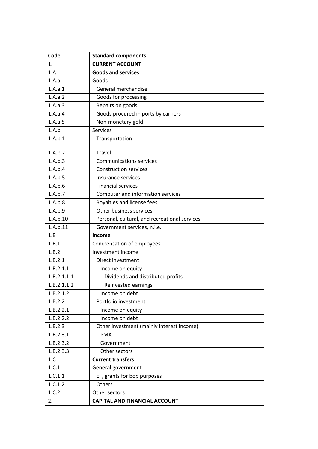| Code        | <b>Standard components</b>                    |
|-------------|-----------------------------------------------|
| 1.          | <b>CURRENT ACCOUNT</b>                        |
| 1.A         | <b>Goods and services</b>                     |
| 1.A.a       | Goods                                         |
| 1.A.a.1     | General merchandise                           |
| 1.A.a.2     | Goods for processing                          |
| 1.A.a.3     | Repairs on goods                              |
| 1.A.a.4     | Goods procured in ports by carriers           |
| 1.A.a.5     | Non-monetary gold                             |
| 1.A.b       | Services                                      |
| 1.A.b.1     | Transportation                                |
| 1.A.b.2     | Travel                                        |
| 1.A.b.3     | <b>Communications services</b>                |
| 1.A.b.4     | <b>Construction services</b>                  |
| 1.A.b.5     | Insurance services                            |
| 1.A.b.6     | <b>Financial services</b>                     |
| 1.A.b.7     | Computer and information services             |
| 1.A.b.8     | Royalties and license fees                    |
| 1.A.b.9     | Other business services                       |
| 1.A.b.10    | Personal, cultural, and recreational services |
| 1.A.b.11    | Government services, n.i.e.                   |
| 1.B         | Income                                        |
| 1.B.1       | Compensation of employees                     |
| 1.B.2       | Investment income                             |
| 1.B.2.1     | Direct investment                             |
| 1.B.2.1.1   | Income on equity                              |
| 1.B.2.1.1.1 | Dividends and distributed profits             |
| 1.B.2.1.1.2 | Reinvested earnings                           |
| 1.B.2.1.2   | Income on debt                                |
| 1.B.2.2     | Portfolio investment                          |
| 1.B.2.2.1   | Income on equity                              |
| 1.B.2.2.2   | Income on debt                                |
| 1.B.2.3     | Other investment (mainly interest income)     |
| 1.B.2.3.1   | <b>PMA</b>                                    |
| 1.B.2.3.2   | Government                                    |
| 1.B.2.3.3   | Other sectors                                 |
| 1.C         | <b>Current transfers</b>                      |
| 1.C.1       | General government                            |
| 1.C.1.1     | EF, grants for bop purposes                   |
| 1.C.1.2     | Others                                        |
| 1.C.2       | Other sectors                                 |
| 2.          | <b>CAPITAL AND FINANCIAL ACCOUNT</b>          |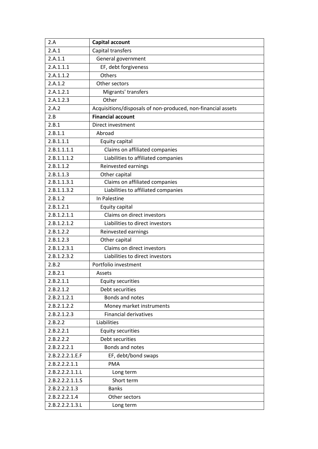| 2.A             | Capital account                                              |
|-----------------|--------------------------------------------------------------|
| 2.A.1           | Capital transfers                                            |
| 2.A.1.1         | General government                                           |
| 2.A.1.1.1       | EF, debt forgiveness                                         |
| 2.A.1.1.2       | Others                                                       |
| 2.A.1.2         | Other sectors                                                |
| 2.A.1.2.1       | Migrants' transfers                                          |
| 2.A.1.2.3       | Other                                                        |
| 2.A.2           | Acquisitions/disposals of non-produced, non-financial assets |
| 2.B             | <b>Financial account</b>                                     |
| 2.B.1           | Direct investment                                            |
| 2.B.1.1         | Abroad                                                       |
| 2.B.1.1.1       | Equity capital                                               |
| 2.B.1.1.1.1     | Claims on affiliated companies                               |
| 2.B.1.1.1.2     | Liabilities to affiliated companies                          |
| 2.B.1.1.2       | Reinvested earnings                                          |
| 2.B.1.1.3       | Other capital                                                |
| 2.B.1.1.3.1     | Claims on affiliated companies                               |
| 2.B.1.1.3.2     | Liabilities to affiliated companies                          |
| 2.B.1.2         | In Palestine                                                 |
| 2.B.1.2.1       | Equity capital                                               |
| 2.B.1.2.1.1     | Claims on direct investors                                   |
| 2.B.1.2.1.2     | Liabilities to direct investors                              |
| 2.B.1.2.2       | Reinvested earnings                                          |
| 2.B.1.2.3       | Other capital                                                |
| 2.B.1.2.3.1     | Claims on direct investors                                   |
| 2.B.1.2.3.2     | Liabilities to direct investors                              |
| 2.B.2           | Portfolio investment                                         |
| 2.B.2.1         | Assets                                                       |
| 2.B.2.1.1       | <b>Equity securities</b>                                     |
| 2.B.2.1.2       | Debt securities                                              |
| 2.B.2.1.2.1     | Bonds and notes                                              |
| 2.B.2.1.2.2     | Money market instruments                                     |
| 2.B.2.1.2.3     | <b>Financial derivatives</b>                                 |
| 2.B.2.2         | Liabilities                                                  |
| 2.B.2.2.1       | <b>Equity securities</b>                                     |
| 2.B.2.2.2       | Debt securities                                              |
| 2.B.2.2.2.1     | Bonds and notes                                              |
| 2.B.2.2.2.1.E.F | EF, debt/bond swaps                                          |
| 2.B.2.2.2.1.1   | <b>PMA</b>                                                   |
| 2.B.2.2.2.1.1.L | Long term                                                    |
| 2.B.2.2.2.1.1.S | Short term                                                   |
| 2.B.2.2.2.1.3   | <b>Banks</b>                                                 |
| 2.B.2.2.2.1.4   | Other sectors                                                |
| 2.B.2.2.2.1.3.L | Long term                                                    |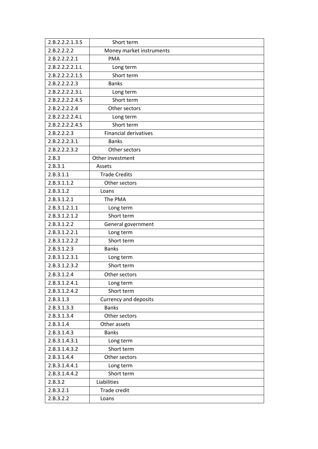| 2.B.2.2.2.1.3.S | Short term                   |
|-----------------|------------------------------|
| 2.B.2.2.2.2     | Money market instruments     |
| 2.B.2.2.2.2.1   | <b>PMA</b>                   |
| 2.B.2.2.2.2.1.L | Long term                    |
| 2.B.2.2.2.2.1.S | Short term                   |
| 2.B.2.2.2.2.3   | <b>Banks</b>                 |
| 2.B.2.2.2.2.3.L | Long term                    |
| 2.B.2.2.2.2.4.S | Short term                   |
| 2.B.2.2.2.2.4   | Other sectors                |
| 2.B.2.2.2.2.4.L | Long term                    |
| 2.B.2.2.2.2.4.S | Short term                   |
| 2.B.2.2.2.3     | <b>Financial derivatives</b> |
| 2.B.2.2.2.3.1   | <b>Banks</b>                 |
| 2.B.2.2.2.3.2   | Other sectors                |
| 2.B.3           | Other investment             |
| 2.B.3.1         | Assets                       |
| 2.B.3.1.1       | <b>Trade Credits</b>         |
| 2.B.3.1.1.2     | Other sectors                |
| 2.B.3.1.2       | Loans                        |
| 2.B.3.1.2.1     | The PMA                      |
| 2.B.3.1.2.1.1   | Long term                    |
| 2.B.3.1.2.1.2   | Short term                   |
| 2.B.3.1.2.2     | General government           |
| 2.B.3.1.2.2.1   | Long term                    |
| 2.B.3.1.2.2.2   | Short term                   |
| 2.B.3.1.2.3     | <b>Banks</b>                 |
| 2.B.3.1.2.3.1   | Long term                    |
| 2.B.3.1.2.3.2   | Short term                   |
| 2.B.3.1.2.4     | Other sectors                |
| 2.B.3.1.2.4.1   | Long term                    |
| 2.B.3.1.2.4.2   | Short term                   |
| 2.B.3.1.3       | <b>Currency and deposits</b> |
| 2.B.3.1.3.3     | <b>Banks</b>                 |
| 2.B.3.1.3.4     | Other sectors                |
| 2.B.3.1.4       | Other assets                 |
| 2.B.3.1.4.3     | <b>Banks</b>                 |
| 2.B.3.1.4.3.1   | Long term                    |
| 2.B.3.1.4.3.2   | Short term                   |
| 2.B.3.1.4.4     | Other sectors                |
| 2.B.3.1.4.4.1   | Long term                    |
| 2.B.3.1.4.4.2   | Short term                   |
| 2.B.3.2         | Liabilities                  |
| 2.B.3.2.1       | Trade credit                 |
| 2.B.3.2.2       | Loans                        |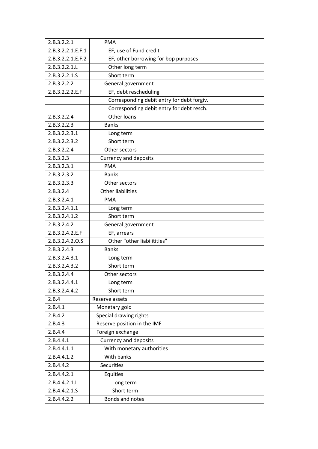| 2.B.3.2.2.1       | <b>PMA</b>                                 |
|-------------------|--------------------------------------------|
| 2.B.3.2.2.1.E.F.1 | EF, use of Fund credit                     |
| 2.B.3.2.2.1.E.F.2 | EF, other borrowing for bop purposes       |
| 2.B.3.2.2.1.L     | Other long term                            |
| 2.B.3.2.2.1.S     | Short term                                 |
| 2.B.3.2.2.2       | General government                         |
| 2.B.3.2.2.2.E.F   | EF, debt rescheduling                      |
|                   | Corresponding debit entry for debt forgiv. |
|                   | Corresponding debit entry for debt resch.  |
| 2.B.3.2.2.4       | Other loans                                |
| 2.B.3.2.2.3       | <b>Banks</b>                               |
| 2.B.3.2.2.3.1     | Long term                                  |
| 2.B.3.2.2.3.2     | Short term                                 |
| 2.B.3.2.2.4       | Other sectors                              |
| 2.B.3.2.3         | <b>Currency and deposits</b>               |
| 2.B.3.2.3.1       | <b>PMA</b>                                 |
| 2.B.3.2.3.2       | <b>Banks</b>                               |
| 2.B.3.2.3.3       | Other sectors                              |
| 2.B.3.2.4         | <b>Other liabilities</b>                   |
| 2.B.3.2.4.1       | <b>PMA</b>                                 |
| 2.B.3.2.4.1.1     | Long term                                  |
| 2.B.3.2.4.1.2     | Short term                                 |
| 2.B.3.2.4.2       | General government                         |
| 2.B.3.2.4.2.E.F   | EF, arrears                                |
| 2.B.3.2.4.2.O.S   | Other "other liabilitities"                |
| 2.B.3.2.4.3       | <b>Banks</b>                               |
| 2.B.3.2.4.3.1     | Long term                                  |
| 2.B.3.2.4.3.2     | Short term                                 |
| 2.B.3.2.4.4       | Other sectors                              |
| 2.B.3.2.4.4.1     | Long term                                  |
| 2.B.3.2.4.4.2     | Short term                                 |
| 2.B.4             | Reserve assets                             |
| 2.B.4.1           | Monetary gold                              |
| 2.B.4.2           | Special drawing rights                     |
| 2.B.4.3           | Reserve position in the IMF                |
| 2.B.4.4           | Foreign exchange                           |
| 2.B.4.4.1         | <b>Currency and deposits</b>               |
| 2.B.4.4.1.1       | With monetary authorities                  |
| 2.B.4.4.1.2       | With banks                                 |
| 2.B.4.4.2         | <b>Securities</b>                          |
| 2.B.4.4.2.1       | Equities                                   |
| 2.B.4.4.2.1.L     | Long term                                  |
| 2.B.4.4.2.1.S     | Short term                                 |
| 2.B.4.4.2.2       | Bonds and notes                            |